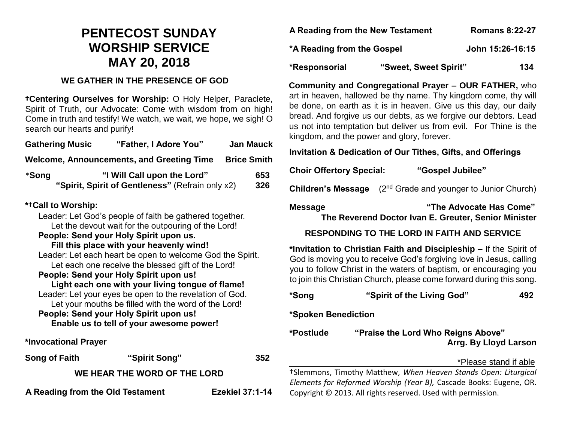# **PENTECOST SUNDAY WORSHIP SERVICE MAY 20, 2018**

### **WE GATHER IN THE PRESENCE OF GOD**

**†Centering Ourselves for Worship:** O Holy Helper, Paraclete, Spirit of Truth, our Advocate: Come with wisdom from on high! Come in truth and testify! We watch, we wait, we hope, we sigh! O search our hearts and purify!

| <b>Gathering Music</b>                                                                                         | "Father, I Adore You"                                                           | <b>Jan Mauck</b>       |  |  |
|----------------------------------------------------------------------------------------------------------------|---------------------------------------------------------------------------------|------------------------|--|--|
|                                                                                                                | Welcome, Announcements, and Greeting Time                                       | <b>Brice Smith</b>     |  |  |
| *Song                                                                                                          | "I Will Call upon the Lord"<br>"Spirit, Spirit of Gentleness" (Refrain only x2) | 653<br>326             |  |  |
| *+Call to Worship:                                                                                             |                                                                                 |                        |  |  |
| Leader: Let God's people of faith be gathered together.<br>Let the devout wait for the outpouring of the Lord! |                                                                                 |                        |  |  |
| People: Send your Holy Spirit upon us.                                                                         |                                                                                 |                        |  |  |
| Fill this place with your heavenly wind!                                                                       |                                                                                 |                        |  |  |
| Leader: Let each heart be open to welcome God the Spirit.                                                      |                                                                                 |                        |  |  |
| Let each one receive the blessed gift of the Lord!<br>People: Send your Holy Spirit upon us!                   |                                                                                 |                        |  |  |
| Light each one with your living tongue of flame!                                                               |                                                                                 |                        |  |  |
| Leader: Let your eyes be open to the revelation of God.                                                        |                                                                                 |                        |  |  |
| Let your mouths be filled with the word of the Lord!                                                           |                                                                                 |                        |  |  |
| People: Send your Holy Spirit upon us!                                                                         |                                                                                 |                        |  |  |
|                                                                                                                | Enable us to tell of your awesome power!                                        |                        |  |  |
| *Invocational Prayer                                                                                           |                                                                                 |                        |  |  |
| <b>Song of Faith</b>                                                                                           | "Spirit Song"                                                                   | 352                    |  |  |
| WE HEAR THE WORD OF THE LORD                                                                                   |                                                                                 |                        |  |  |
| A Reading from the Old Testament                                                                               |                                                                                 | <b>Ezekiel 37:1-14</b> |  |  |

| A Reading from the New Testament | ROMANS 6:22-27   |
|----------------------------------|------------------|
| *A Reading from the Gospel       | John 15:26-16:15 |
|                                  |                  |

**A Reading from the New Testament Romans 8:22-27**

**\*Responsorial "Sweet, Sweet Spirit" 134**

**Community and Congregational Prayer – OUR FATHER,** who art in heaven, hallowed be thy name. Thy kingdom come, thy will be done, on earth as it is in heaven. Give us this day, our daily bread. And forgive us our debts, as we forgive our debtors. Lead us not into temptation but deliver us from evil. For Thine is the kingdom, and the power and glory, forever.

## **Invitation & Dedication of Our Tithes, Gifts, and Offerings**

**Choir Offertory Special: "Gospel Jubilee"**

**Children's Message** (2<sup>nd</sup> Grade and younger to Junior Church)

**Message "The Advocate Has Come" The Reverend Doctor Ivan E. Greuter, Senior Minister**

## **RESPONDING TO THE LORD IN FAITH AND SERVICE**

**\*Invitation to Christian Faith and Discipleship –** If the Spirit of God is moving you to receive God's forgiving love in Jesus, calling you to follow Christ in the waters of baptism, or encouraging you to join this Christian Church, please come forward during this song.

| *Song               | "Spirit of the Living God"                                      | 492 |  |
|---------------------|-----------------------------------------------------------------|-----|--|
| *Spoken Benediction |                                                                 |     |  |
| *Postlude           | "Praise the Lord Who Reigns Above"<br>Arrg. By Lloyd Larson     |     |  |
|                     | *Please stand if able                                           |     |  |
|                     | †Slemmons, Timothy Matthew, When Heaven Stands Open: Liturgical |     |  |

*Elements for Reformed Worship (Year B),* Cascade Books: Eugene, OR. Copyright © 2013. All rights reserved. Used with permission.